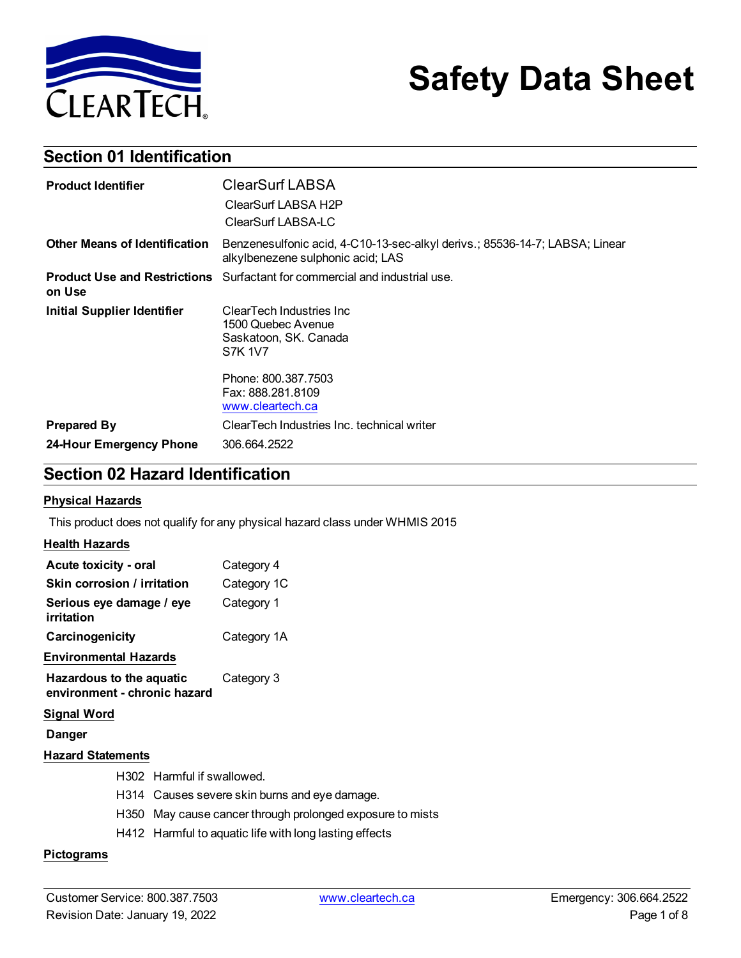

# **Safety Data Sheet**

## **Section 01 Identification**

| <b>Product Identifier</b>            | <b>ClearSurf LABSA</b><br>ClearSurf LABSA H2P<br>ClearSurf LABSA-LC                                              |
|--------------------------------------|------------------------------------------------------------------------------------------------------------------|
| <b>Other Means of Identification</b> | Benzenesulfonic acid, 4-C10-13-sec-alkyl derivs.; 85536-14-7; LABSA; Linear<br>alkylbenezene sulphonic acid; LAS |
| on Use                               | <b>Product Use and Restrictions</b> Surfactant for commercial and industrial use.                                |
| <b>Initial Supplier Identifier</b>   | ClearTech Industries Inc<br>1500 Quebec Avenue<br>Saskatoon, SK. Canada<br>S7K 1V7                               |
|                                      | Phone: 800.387.7503<br>Fax: 888.281.8109<br>www.cleartech.ca                                                     |
| <b>Prepared By</b>                   | ClearTech Industries Inc. technical writer                                                                       |
| 24-Hour Emergency Phone              | 306.664.2522                                                                                                     |

## **Section 02 Hazard Identification**

#### **Physical Hazards**

This product does not qualify for any physical hazard class under WHMIS 2015

#### **Health Hazards**

| Acute toxicity - oral                                    | Category 4  |
|----------------------------------------------------------|-------------|
| Skin corrosion / irritation                              | Category 1C |
| Serious eye damage / eye<br>irritation                   | Category 1  |
| Carcinogenicity                                          | Category 1A |
| Environmental Hazards                                    |             |
| Hazardous to the aquatic<br>environment - chronic hazard | Category 3  |
| Signal Word                                              |             |
| Danger                                                   |             |
| <b>Hazard Statements</b>                                 |             |
| H302 Harmful if swallowed.                               |             |

- H314 Causes severe skin burns and eye damage.
- H350 May cause cancer through prolonged exposure to mists
- H412 Harmful to aquatic life with long lasting effects

#### **Pictograms**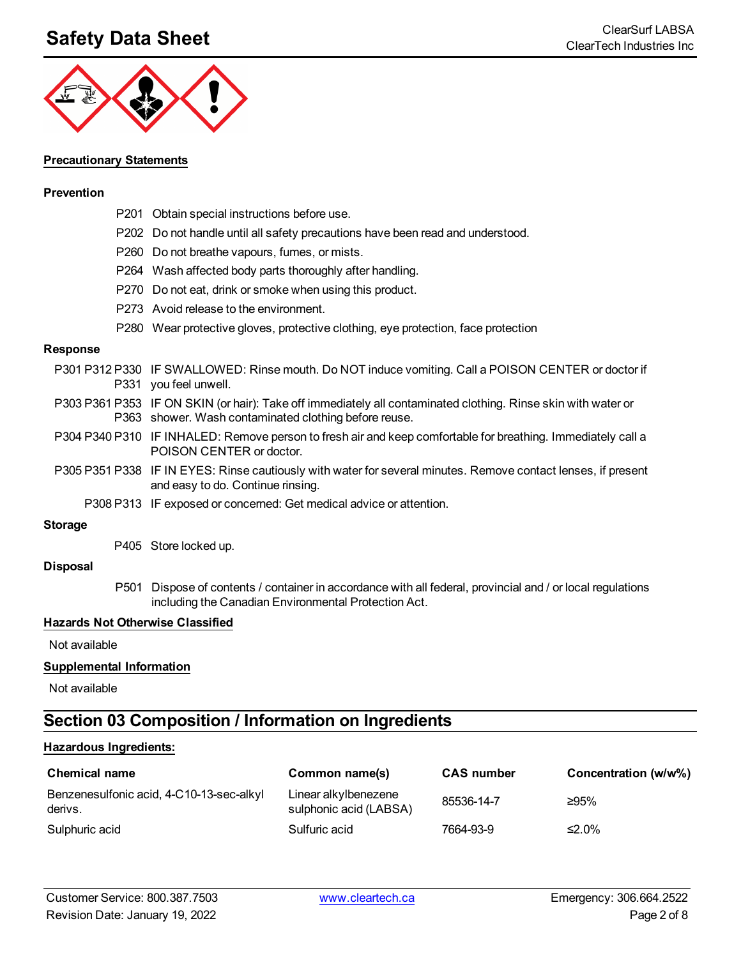## **Safety Data Sheet**<br>ClearSurf LABSA ClearSurf LABSA



#### **Precautionary Statements**

#### **Prevention**

|                 | P201 Obtain special instructions before use.                                                                                                                           |
|-----------------|------------------------------------------------------------------------------------------------------------------------------------------------------------------------|
|                 | P202 Do not handle until all safety precautions have been read and understood.                                                                                         |
|                 | P260 Do not breathe vapours, fumes, or mists.                                                                                                                          |
|                 | P264 Wash affected body parts thoroughly after handling.                                                                                                               |
|                 | P270 Do not eat, drink or smoke when using this product.                                                                                                               |
|                 | P273 Avoid release to the environment.                                                                                                                                 |
|                 | P280 Wear protective gloves, protective clothing, eye protection, face protection                                                                                      |
| <b>Response</b> |                                                                                                                                                                        |
|                 | P301 P312 P330 IF SWALLOWED: Rinse mouth. Do NOT induce vomiting. Call a POISON CENTER or doctor if<br>P331 you feel unwell.                                           |
|                 | P303 P361 P353 IF ON SKIN (or hair): Take off immediately all contaminated clothing. Rinse skin with water or<br>P363 shower. Wash contaminated clothing before reuse. |
|                 | P304 P340 P310 IF INHALED: Remove person to fresh air and keep comfortable for breathing. Immediately call a<br>POISON CENTER or doctor.                               |
|                 | P305 P351 P338 IF IN EYES: Rinse cautiously with water for several minutes. Remove contact lenses, if present<br>and easy to do. Continue rinsing.                     |
|                 | P308 P313 IF exposed or concerned: Get medical advice or attention.                                                                                                    |
| <b>Storage</b>  |                                                                                                                                                                        |

P405 Store locked up.

#### **Disposal**

P501 Dispose of contents / container in accordance with all federal, provincial and / or local regulations including the Canadian Environmental Protection Act.

#### **Hazards Not Otherwise Classified**

Not available

#### **Supplemental Information**

Not available

## **Section 03 Composition / Information on Ingredients**

#### **Hazardous Ingredients:**

| <b>Chemical name</b>                                | Common name(s)                                 | <b>CAS number</b> | Concentration (w/w%) |
|-----------------------------------------------------|------------------------------------------------|-------------------|----------------------|
| Benzenesulfonic acid, 4-C10-13-sec-alkyl<br>derivs. | Linear alkylbenezene<br>sulphonic acid (LABSA) | 85536-14-7        | ≥95%                 |
| Sulphuric acid                                      | Sulfuric acid                                  | 7664-93-9         | ≤2.0%                |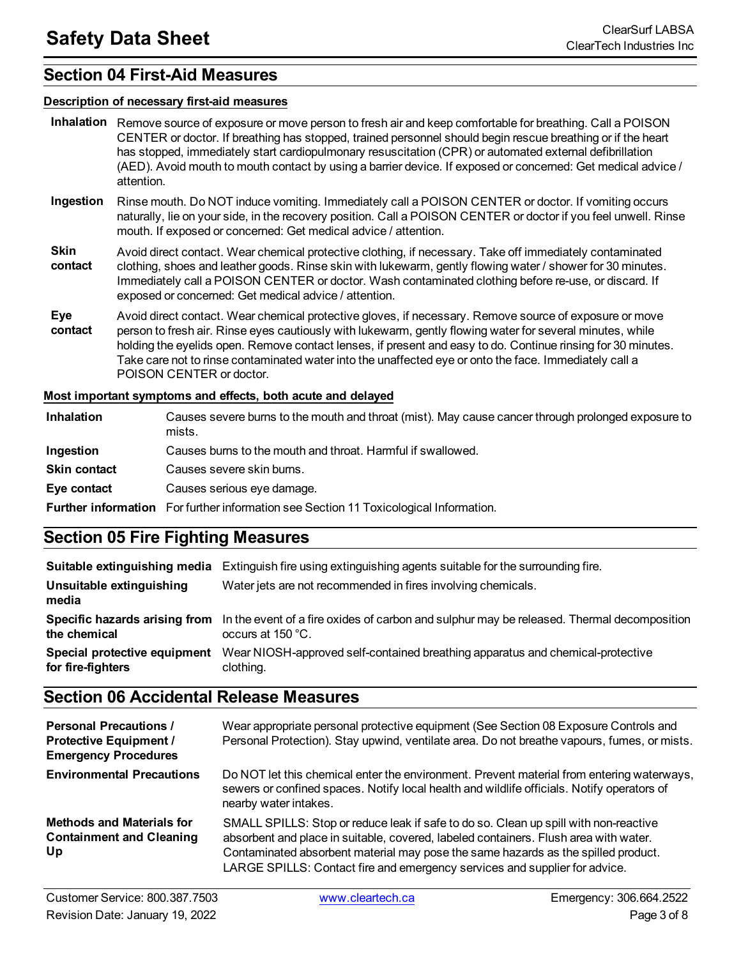### **Section 04 First-Aid Measures**

#### **Description of necessary first-aid measures**

- **Inhalation** Remove source of exposure or move person to fresh air and keep comfortable for breathing. Call a POISON CENTER or doctor. If breathing has stopped, trained personnel should begin rescue breathing or if the heart has stopped, immediately start cardiopulmonary resuscitation (CPR) or automated external defibrillation (AED). Avoid mouth to mouth contact by using a barrier device. If exposed or concerned: Get medical advice / attention.
- **Ingestion** Rinse mouth. Do NOT induce vomiting. Immediately call a POISON CENTER or doctor. If vomiting occurs naturally, lie on your side, in the recovery position. Call a POISON CENTER or doctor if you feel unwell. Rinse mouth. If exposed or concerned: Get medical advice / attention.
- **Skin contact** Avoid direct contact. Wear chemical protective clothing, if necessary. Take off immediately contaminated clothing, shoes and leather goods. Rinse skin with lukewarm, gently flowing water / shower for 30 minutes. Immediately call a POISON CENTER or doctor. Wash contaminated clothing before re-use, or discard. If exposed or concerned: Get medical advice / attention.
- **Eye contact** Avoid direct contact. Wear chemical protective gloves, if necessary. Remove source of exposure or move person to fresh air. Rinse eyes cautiously with lukewarm, gently flowing water for several minutes, while holding the eyelids open. Remove contact lenses, if present and easy to do. Continue rinsing for 30 minutes. Take care not to rinse contaminated water into the unaffected eye or onto the face. Immediately call a POISON CENTER or doctor.

#### **Most important symptoms and effects, both acute and delayed**

| Inhalation          | Causes severe burns to the mouth and throat (mist). May cause cancer through prolonged exposure to<br>mists. |
|---------------------|--------------------------------------------------------------------------------------------------------------|
| Ingestion           | Causes burns to the mouth and throat. Harmful if swallowed.                                                  |
| <b>Skin contact</b> | Causes severe skin burns.                                                                                    |
| Eye contact         | Causes serious eye damage.                                                                                   |
|                     | <b>Further information</b> For further information see Section 11 Toxicological Information.                 |

## **Section 05 Fire Fighting Measures**

| Suitable extinguishing media                      | Extinguish fire using extinguishing agents suitable for the surrounding fire.                                                                 |
|---------------------------------------------------|-----------------------------------------------------------------------------------------------------------------------------------------------|
| Unsuitable extinguishing<br>media                 | Water jets are not recommended in fires involving chemicals.                                                                                  |
| the chemical                                      | Specific hazards arising from In the event of a fire oxides of carbon and sulphur may be released. Thermal decomposition<br>occurs at 150 °C. |
| Special protective equipment<br>for fire-fighters | Wear NIOSH-approved self-contained breathing apparatus and chemical-protective<br>clothing.                                                   |

## **Section 06 Accidental Release Measures**

| <b>Personal Precautions /</b><br><b>Protective Equipment /</b><br><b>Emergency Procedures</b> | Wear appropriate personal protective equipment (See Section 08 Exposure Controls and<br>Personal Protection). Stay upwind, ventilate area. Do not breathe vapours, fumes, or mists.                                                                                                                                                             |
|-----------------------------------------------------------------------------------------------|-------------------------------------------------------------------------------------------------------------------------------------------------------------------------------------------------------------------------------------------------------------------------------------------------------------------------------------------------|
| <b>Environmental Precautions</b>                                                              | Do NOT let this chemical enter the environment. Prevent material from entering waterways,<br>sewers or confined spaces. Notify local health and wildlife officials. Notify operators of<br>nearby water intakes.                                                                                                                                |
| <b>Methods and Materials for</b><br><b>Containment and Cleaning</b><br>Up                     | SMALL SPILLS: Stop or reduce leak if safe to do so. Clean up spill with non-reactive<br>absorbent and place in suitable, covered, labeled containers. Flush area with water.<br>Contaminated absorbent material may pose the same hazards as the spilled product.<br>LARGE SPILLS: Contact fire and emergency services and supplier for advice. |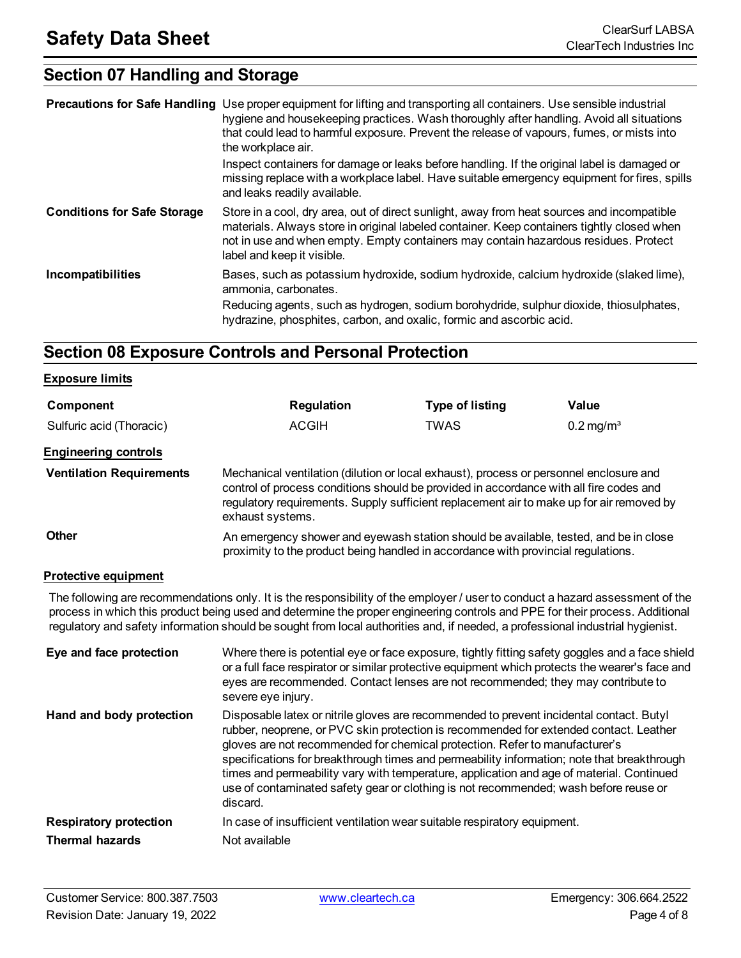## **Section 07 Handling and Storage**

|                                    | <b>Precautions for Safe Handling</b> Use proper equipment for lifting and transporting all containers. Use sensible industrial<br>hygiene and housekeeping practices. Wash thoroughly after handling. Avoid all situations<br>that could lead to harmful exposure. Prevent the release of vapours, fumes, or mists into<br>the workplace air.<br>Inspect containers for damage or leaks before handling. If the original label is damaged or<br>missing replace with a workplace label. Have suitable emergency equipment for fires, spills<br>and leaks readily available. |
|------------------------------------|-----------------------------------------------------------------------------------------------------------------------------------------------------------------------------------------------------------------------------------------------------------------------------------------------------------------------------------------------------------------------------------------------------------------------------------------------------------------------------------------------------------------------------------------------------------------------------|
| <b>Conditions for Safe Storage</b> | Store in a cool, dry area, out of direct sunlight, away from heat sources and incompatible<br>materials. Always store in original labeled container. Keep containers tightly closed when<br>not in use and when empty. Empty containers may contain hazardous residues. Protect<br>label and keep it visible.                                                                                                                                                                                                                                                               |
| Incompatibilities                  | Bases, such as potassium hydroxide, sodium hydroxide, calcium hydroxide (slaked lime),<br>ammonia, carbonates.<br>Reducing agents, such as hydrogen, sodium borohydride, sulphur dioxide, thiosulphates,<br>hydrazine, phosphites, carbon, and oxalic, formic and ascorbic acid.                                                                                                                                                                                                                                                                                            |

### **Section 08 Exposure Controls and Personal Protection**

#### **Exposure limits**

| Component                       | <b>Regulation</b>                                                                                                                                                                                                                                                                                | <b>Type of listing</b> | Value                   |
|---------------------------------|--------------------------------------------------------------------------------------------------------------------------------------------------------------------------------------------------------------------------------------------------------------------------------------------------|------------------------|-------------------------|
| Sulfuric acid (Thoracic)        | <b>ACGIH</b>                                                                                                                                                                                                                                                                                     | <b>TWAS</b>            | $0.2$ mg/m <sup>3</sup> |
| <b>Engineering controls</b>     |                                                                                                                                                                                                                                                                                                  |                        |                         |
| <b>Ventilation Requirements</b> | Mechanical ventilation (dilution or local exhaust), process or personnel enclosure and<br>control of process conditions should be provided in accordance with all fire codes and<br>regulatory requirements. Supply sufficient replacement air to make up for air removed by<br>exhaust systems. |                        |                         |
| <b>Other</b>                    | An emergency shower and eyewash station should be available, tested, and be in close<br>proximity to the product being handled in accordance with provincial regulations.                                                                                                                        |                        |                         |
| <b>Protective equipment</b>     |                                                                                                                                                                                                                                                                                                  |                        |                         |
|                                 | . The following commences in the comment of the film of the second film of the commence of the comment of the second control of the comment of the comment of the comment of the comment of the comment of the comment of the                                                                    |                        |                         |

The following are recommendations only. It is the responsibility of the employer / user to conduct a hazard assessment of the process in which this product being used and determine the proper engineering controls and PPE for their process. Additional regulatory and safety information should be sought from local authorities and, if needed, a professional industrial hygienist.

| Eye and face protection       | Where there is potential eye or face exposure, tightly fitting safety goggles and a face shield<br>or a full face respirator or similar protective equipment which protects the wearer's face and<br>eyes are recommended. Contact lenses are not recommended; they may contribute to<br>severe eye injury.                                                                                                                                                                                                                                                   |
|-------------------------------|---------------------------------------------------------------------------------------------------------------------------------------------------------------------------------------------------------------------------------------------------------------------------------------------------------------------------------------------------------------------------------------------------------------------------------------------------------------------------------------------------------------------------------------------------------------|
| Hand and body protection      | Disposable latex or nitrile gloves are recommended to prevent incidental contact. Butyl<br>rubber, neoprene, or PVC skin protection is recommended for extended contact. Leather<br>gloves are not recommended for chemical protection. Refer to manufacturer's<br>specifications for breakthrough times and permeability information; note that breakthrough<br>times and permeability vary with temperature, application and age of material. Continued<br>use of contaminated safety gear or clothing is not recommended; wash before reuse or<br>discard. |
| <b>Respiratory protection</b> | In case of insufficient ventilation wear suitable respiratory equipment.                                                                                                                                                                                                                                                                                                                                                                                                                                                                                      |
| <b>Thermal hazards</b>        | Not available                                                                                                                                                                                                                                                                                                                                                                                                                                                                                                                                                 |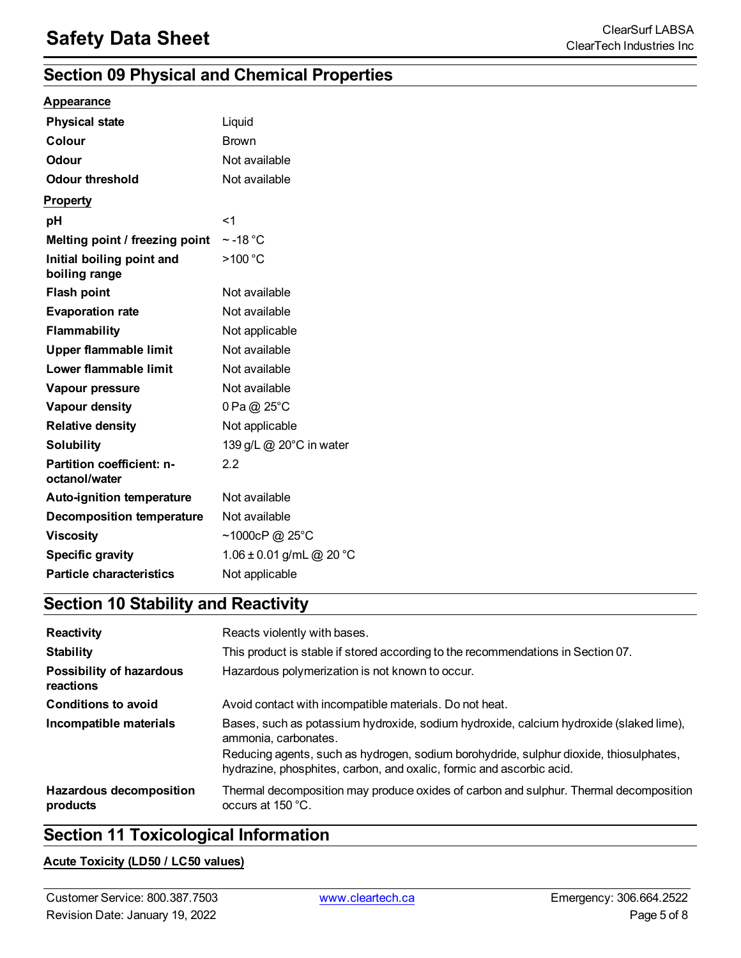## **Section 09 Physical and Chemical Properties**

#### **Appearance**

| <b>Physical state</b>                      | Liquid                   |
|--------------------------------------------|--------------------------|
| Colour                                     | <b>Brown</b>             |
| <b>Odour</b>                               | Not available            |
| <b>Odour threshold</b>                     | Not available            |
| <b>Property</b>                            |                          |
| pH                                         | $<$ 1                    |
| Melting point / freezing point             | $\sim$ -18 °C            |
| Initial boiling point and<br>boiling range | >100 °C                  |
| <b>Flash point</b>                         | Not available            |
| <b>Evaporation rate</b>                    | Not available            |
| <b>Flammability</b>                        | Not applicable           |
| Upper flammable limit                      | Not available            |
| Lower flammable limit                      | Not available            |
| Vapour pressure                            | Not available            |
| Vapour density                             | 0 Pa @ 25°C              |
| <b>Relative density</b>                    | Not applicable           |
| <b>Solubility</b>                          | 139 g/L @ 20°C in water  |
| Partition coefficient: n-<br>octanol/water | 2.2                      |
| Auto-ignition temperature                  | Not available            |
| <b>Decomposition temperature</b>           | Not available            |
| <b>Viscosity</b>                           | ~1000cP @ 25°C           |
| <b>Specific gravity</b>                    | 1.06 ± 0.01 g/mL @ 20 °C |
| <b>Particle characteristics</b>            | Not applicable           |

## **Section 10 Stability and Reactivity**

| Reactivity                                 | Reacts violently with bases.                                                                                                                                   |
|--------------------------------------------|----------------------------------------------------------------------------------------------------------------------------------------------------------------|
| <b>Stability</b>                           | This product is stable if stored according to the recommendations in Section 07.                                                                               |
| Possibility of hazardous<br>reactions      | Hazardous polymerization is not known to occur.                                                                                                                |
| <b>Conditions to avoid</b>                 | Avoid contact with incompatible materials. Do not heat.                                                                                                        |
| Incompatible materials                     | Bases, such as potassium hydroxide, sodium hydroxide, calcium hydroxide (slaked lime),<br>ammonia, carbonates.                                                 |
|                                            | Reducing agents, such as hydrogen, sodium borohydride, sulphur dioxide, thiosulphates,<br>hydrazine, phosphites, carbon, and oxalic, formic and ascorbic acid. |
| <b>Hazardous decomposition</b><br>products | Thermal decomposition may produce oxides of carbon and sulphur. Thermal decomposition<br>occurs at $150 °C$ .                                                  |

## **Section 11 Toxicological Information**

#### **Acute Toxicity (LD50 / LC50 values)**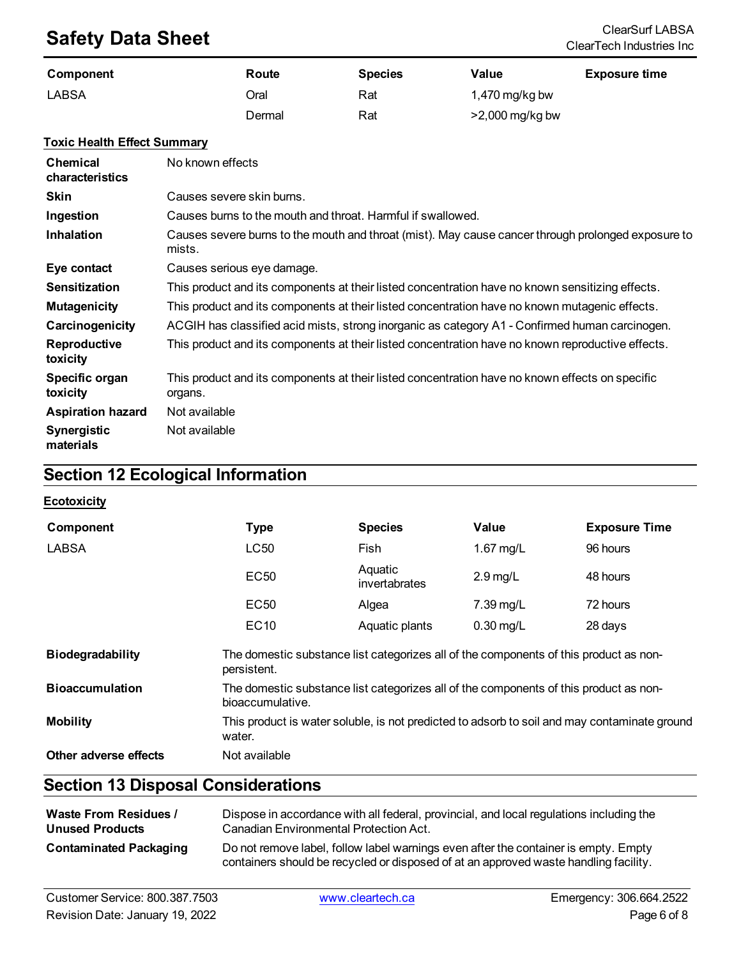## **Safety Data Sheet**<br>ClearSurf LABSA ClearSurf LABSA ClearSurf LABSA ClearSurf LABSA

| Component    | Route  | <b>Species</b> | Value             | <b>Exposure time</b> |
|--------------|--------|----------------|-------------------|----------------------|
| <b>LABSA</b> | Oral   | Rat            | 1,470 mg/kg bw    |                      |
|              | Dermal | Rat            | $>2,000$ mg/kg bw |                      |

#### **Toxic Health Effect Summary**

| <b>Chemical</b><br>characteristics | No known effects                                                                                             |
|------------------------------------|--------------------------------------------------------------------------------------------------------------|
| <b>Skin</b>                        | Causes severe skin burns.                                                                                    |
| Ingestion                          | Causes burns to the mouth and throat. Harmful if swallowed.                                                  |
| <b>Inhalation</b>                  | Causes severe burns to the mouth and throat (mist). May cause cancer through prolonged exposure to<br>mists. |
| Eye contact                        | Causes serious eye damage.                                                                                   |
| <b>Sensitization</b>               | This product and its components at their listed concentration have no known sensitizing effects.             |
| <b>Mutagenicity</b>                | This product and its components at their listed concentration have no known mutagenic effects.               |
| Carcinogenicity                    | ACGIH has classified acid mists, strong inorganic as category A1 - Confirmed human carcinogen.               |
| Reproductive<br>toxicity           | This product and its components at their listed concentration have no known reproductive effects.            |
| Specific organ<br>toxicity         | This product and its components at their listed concentration have no known effects on specific<br>organs.   |
| <b>Aspiration hazard</b>           | Not available                                                                                                |
| <b>Synergistic</b><br>materials    | Not available                                                                                                |

## **Section 12 Ecological Information**

#### **Ecotoxicity**

| Component               | <b>Type</b>                                                                                               | <b>Species</b>           | Value       | <b>Exposure Time</b> |
|-------------------------|-----------------------------------------------------------------------------------------------------------|--------------------------|-------------|----------------------|
| LABSA                   | LC50                                                                                                      | Fish                     | 1.67 mg/L   | 96 hours             |
|                         | EC <sub>50</sub>                                                                                          | Aquatic<br>invertabrates | $2.9$ mg/L  | 48 hours             |
|                         | EC <sub>50</sub>                                                                                          | Algea                    | 7.39 mg/L   | 72 hours             |
|                         | <b>EC10</b>                                                                                               | Aquatic plants           | $0.30$ mg/L | 28 days              |
| <b>Biodegradability</b> | The domestic substance list categorizes all of the components of this product as non-<br>persistent.      |                          |             |                      |
| <b>Bioaccumulation</b>  | The domestic substance list categorizes all of the components of this product as non-<br>bioaccumulative. |                          |             |                      |
| <b>Mobility</b>         | This product is water soluble, is not predicted to adsorb to soil and may contaminate ground<br>water.    |                          |             |                      |
| Other adverse effects   | Not available                                                                                             |                          |             |                      |

## **Section 13 Disposal Considerations**

| <b>Waste From Residues /</b>  | Dispose in accordance with all federal, provincial, and local regulations including the                                                                                     |
|-------------------------------|-----------------------------------------------------------------------------------------------------------------------------------------------------------------------------|
| <b>Unused Products</b>        | Canadian Environmental Protection Act.                                                                                                                                      |
| <b>Contaminated Packaging</b> | Do not remove label, follow label warnings even after the container is empty. Empty<br>containers should be recycled or disposed of at an approved waste handling facility. |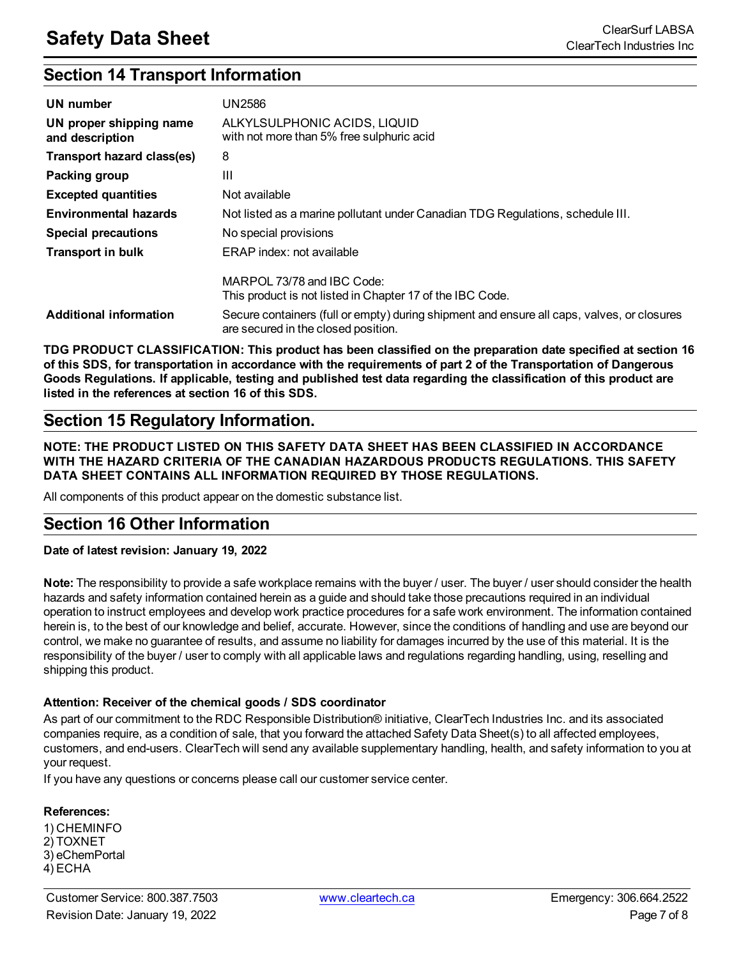## **Section 14 Transport Information**

| UN number                                  | UN2586                                                                                                                            |
|--------------------------------------------|-----------------------------------------------------------------------------------------------------------------------------------|
| UN proper shipping name<br>and description | ALKYLSULPHONIC ACIDS, LIQUID<br>with not more than 5% free sulphuric acid                                                         |
| Transport hazard class(es)                 | 8                                                                                                                                 |
| Packing group                              | Ш                                                                                                                                 |
| <b>Excepted quantities</b>                 | Not available                                                                                                                     |
| <b>Environmental hazards</b>               | Not listed as a marine pollutant under Canadian TDG Regulations, schedule III.                                                    |
| <b>Special precautions</b>                 | No special provisions                                                                                                             |
| <b>Transport in bulk</b>                   | ERAP index: not available                                                                                                         |
|                                            | MARPOL 73/78 and IBC Code:<br>This product is not listed in Chapter 17 of the IBC Code.                                           |
| <b>Additional information</b>              | Secure containers (full or empty) during shipment and ensure all caps, valves, or closures<br>are secured in the closed position. |

**TDG PRODUCT CLASSIFICATION: This product has been classified on the preparation date specified at section 16** of this SDS, for transportation in accordance with the requirements of part 2 of the Transportation of Dangerous Goods Regulations. If applicable, testing and published test data regarding the classification of this product are **listed in the references at section 16 of this SDS.**

### **Section 15 Regulatory Information.**

**NOTE: THE PRODUCT LISTED ON THIS SAFETY DATA SHEET HAS BEEN CLASSIFIED IN ACCORDANCE WITH THE HAZARD CRITERIA OF THE CANADIAN HAZARDOUS PRODUCTS REGULATIONS. THIS SAFETY DATA SHEET CONTAINS ALL INFORMATION REQUIRED BY THOSE REGULATIONS.**

All components of this product appear on the domestic substance list.

## **Section 16 Other Information**

#### **Date of latest revision: January 19, 2022**

**Note:** The responsibility to provide a safe workplace remains with the buyer / user. The buyer / user should consider the health hazards and safety information contained herein as a guide and should take those precautions required in an individual operation to instruct employees and develop work practice procedures for a safe work environment. The information contained herein is, to the best of our knowledge and belief, accurate. However, since the conditions of handling and use are beyond our control, we make no guarantee of results, and assume no liability for damages incurred by the use of this material. It is the responsibility of the buyer / user to comply with all applicable laws and regulations regarding handling, using, reselling and shipping this product.

#### **Attention: Receiver of the chemical goods / SDS coordinator**

As part of our commitment to the RDC Responsible Distribution® initiative, ClearTech Industries Inc. and its associated companies require, as a condition of sale, that you forward the attached Safety Data Sheet(s) to all affected employees, customers, and end-users. ClearTech will send any available supplementary handling, health, and safety information to you at your request.

If you have any questions or concerns please call our customer service center.

#### **References:**

1) CHEMINFO 2) TOXNET 3) eChemPortal 4) ECHA